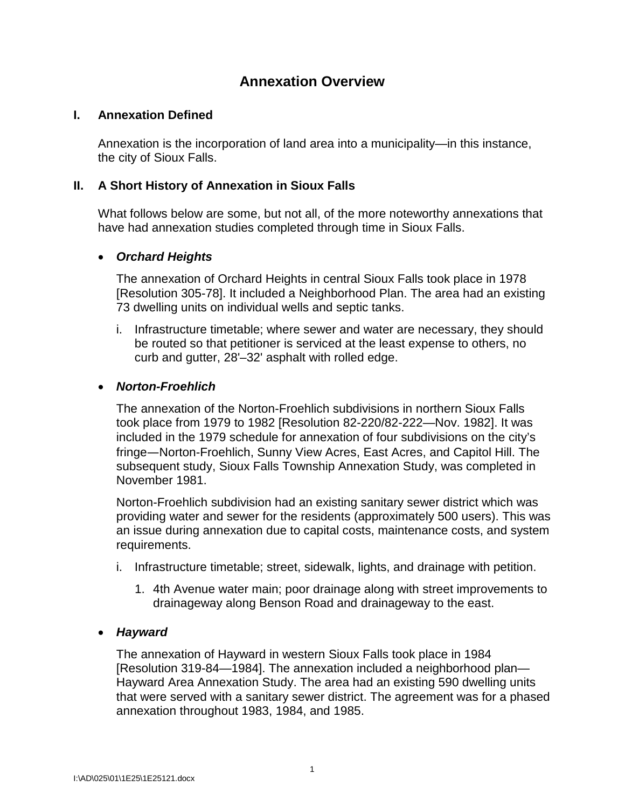# **Annexation Overview**

## **I. Annexation Defined**

Annexation is the incorporation of land area into a municipality—in this instance, the city of Sioux Falls.

# **II. A Short History of Annexation in Sioux Falls**

What follows below are some, but not all, of the more noteworthy annexations that have had annexation studies completed through time in Sioux Falls.

# • *Orchard Heights*

The annexation of Orchard Heights in central Sioux Falls took place in 1978 [Resolution 305-78]. It included a Neighborhood Plan. The area had an existing 73 dwelling units on individual wells and septic tanks.

i. Infrastructure timetable; where sewer and water are necessary, they should be routed so that petitioner is serviced at the least expense to others, no curb and gutter, 28'–32' asphalt with rolled edge.

## • *Norton-Froehlich*

The annexation of the Norton-Froehlich subdivisions in northern Sioux Falls took place from 1979 to 1982 [Resolution 82-220/82-222—Nov. 1982]. It was included in the 1979 schedule for annexation of four subdivisions on the city's fringe—Norton-Froehlich, Sunny View Acres, East Acres, and Capitol Hill. The subsequent study, Sioux Falls Township Annexation Study, was completed in November 1981.

Norton-Froehlich subdivision had an existing sanitary sewer district which was providing water and sewer for the residents (approximately 500 users). This was an issue during annexation due to capital costs, maintenance costs, and system requirements.

- i. Infrastructure timetable; street, sidewalk, lights, and drainage with petition.
	- 1. 4th Avenue water main; poor drainage along with street improvements to drainageway along Benson Road and drainageway to the east.

## • *Hayward*

The annexation of Hayward in western Sioux Falls took place in 1984 [Resolution 319-84—1984]. The annexation included a neighborhood plan— Hayward Area Annexation Study. The area had an existing 590 dwelling units that were served with a sanitary sewer district. The agreement was for a phased annexation throughout 1983, 1984, and 1985.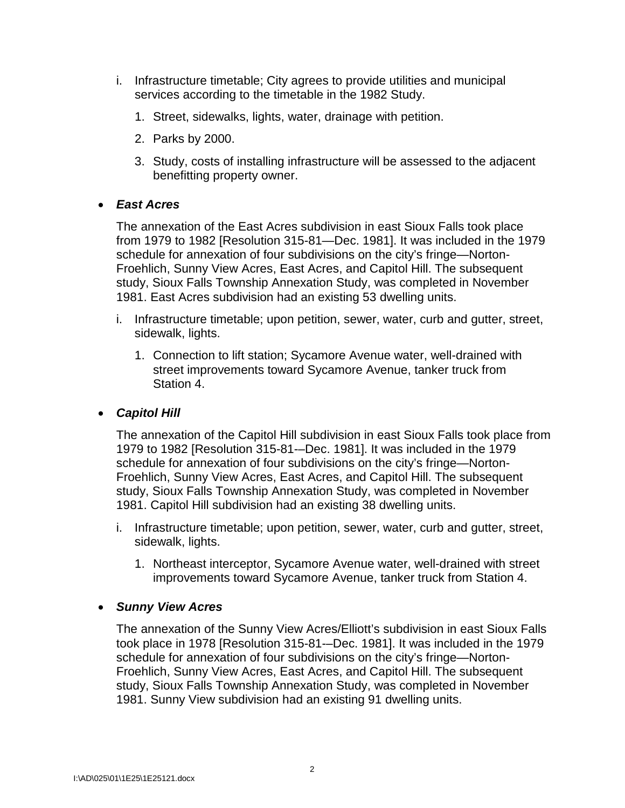- i. Infrastructure timetable; City agrees to provide utilities and municipal services according to the timetable in the 1982 Study.
	- 1. Street, sidewalks, lights, water, drainage with petition.
	- 2. Parks by 2000.
	- 3. Study, costs of installing infrastructure will be assessed to the adjacent benefitting property owner.

# • *East Acres*

The annexation of the East Acres subdivision in east Sioux Falls took place from 1979 to 1982 [Resolution 315-81—Dec. 1981]. It was included in the 1979 schedule for annexation of four subdivisions on the city's fringe—Norton-Froehlich, Sunny View Acres, East Acres, and Capitol Hill. The subsequent study, Sioux Falls Township Annexation Study, was completed in November 1981. East Acres subdivision had an existing 53 dwelling units.

- i. Infrastructure timetable; upon petition, sewer, water, curb and gutter, street, sidewalk, lights.
	- 1. Connection to lift station; Sycamore Avenue water, well-drained with street improvements toward Sycamore Avenue, tanker truck from Station 4.

## • *Capitol Hill*

The annexation of the Capitol Hill subdivision in east Sioux Falls took place from 1979 to 1982 [Resolution 315-81-–Dec. 1981]. It was included in the 1979 schedule for annexation of four subdivisions on the city's fringe—Norton-Froehlich, Sunny View Acres, East Acres, and Capitol Hill. The subsequent study, Sioux Falls Township Annexation Study, was completed in November 1981. Capitol Hill subdivision had an existing 38 dwelling units.

- i. Infrastructure timetable; upon petition, sewer, water, curb and gutter, street, sidewalk, lights.
	- 1. Northeast interceptor, Sycamore Avenue water, well-drained with street improvements toward Sycamore Avenue, tanker truck from Station 4.

## • *Sunny View Acres*

The annexation of the Sunny View Acres/Elliott's subdivision in east Sioux Falls took place in 1978 [Resolution 315-81-–Dec. 1981]. It was included in the 1979 schedule for annexation of four subdivisions on the city's fringe—Norton-Froehlich, Sunny View Acres, East Acres, and Capitol Hill. The subsequent study, Sioux Falls Township Annexation Study, was completed in November 1981. Sunny View subdivision had an existing 91 dwelling units.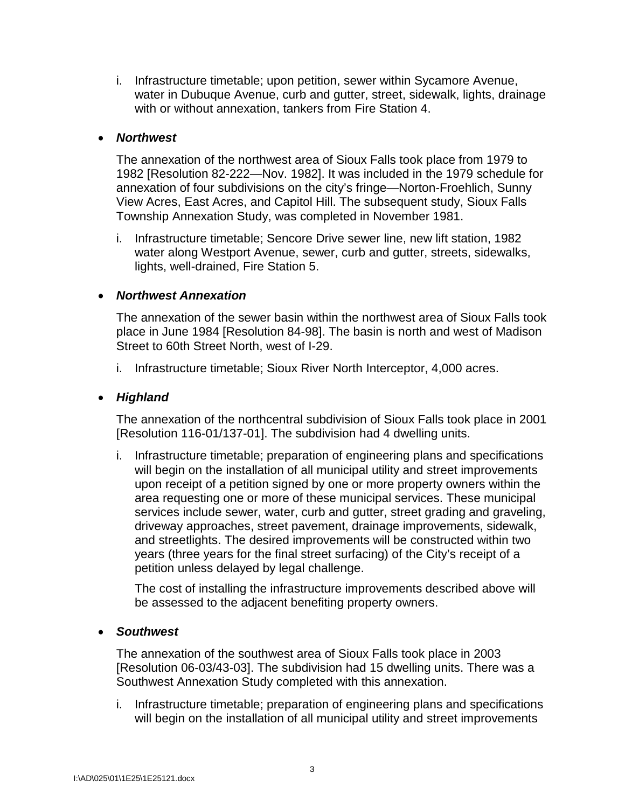i. Infrastructure timetable; upon petition, sewer within Sycamore Avenue, water in Dubuque Avenue, curb and gutter, street, sidewalk, lights, drainage with or without annexation, tankers from Fire Station 4.

#### • *Northwest*

The annexation of the northwest area of Sioux Falls took place from 1979 to 1982 [Resolution 82-222—Nov. 1982]. It was included in the 1979 schedule for annexation of four subdivisions on the city's fringe—Norton-Froehlich, Sunny View Acres, East Acres, and Capitol Hill. The subsequent study, Sioux Falls Township Annexation Study, was completed in November 1981.

i. Infrastructure timetable; Sencore Drive sewer line, new lift station, 1982 water along Westport Avenue, sewer, curb and gutter, streets, sidewalks, lights, well-drained, Fire Station 5.

#### • *Northwest Annexation*

The annexation of the sewer basin within the northwest area of Sioux Falls took place in June 1984 [Resolution 84-98]. The basin is north and west of Madison Street to 60th Street North, west of I-29.

i. Infrastructure timetable; Sioux River North Interceptor, 4,000 acres.

#### • *Highland*

The annexation of the northcentral subdivision of Sioux Falls took place in 2001 [Resolution 116-01/137-01]. The subdivision had 4 dwelling units.

i. Infrastructure timetable; preparation of engineering plans and specifications will begin on the installation of all municipal utility and street improvements upon receipt of a petition signed by one or more property owners within the area requesting one or more of these municipal services. These municipal services include sewer, water, curb and gutter, street grading and graveling, driveway approaches, street pavement, drainage improvements, sidewalk, and streetlights. The desired improvements will be constructed within two years (three years for the final street surfacing) of the City's receipt of a petition unless delayed by legal challenge.

The cost of installing the infrastructure improvements described above will be assessed to the adjacent benefiting property owners.

#### • *Southwest*

The annexation of the southwest area of Sioux Falls took place in 2003 [Resolution 06-03/43-03]. The subdivision had 15 dwelling units. There was a Southwest Annexation Study completed with this annexation.

i. Infrastructure timetable; preparation of engineering plans and specifications will begin on the installation of all municipal utility and street improvements